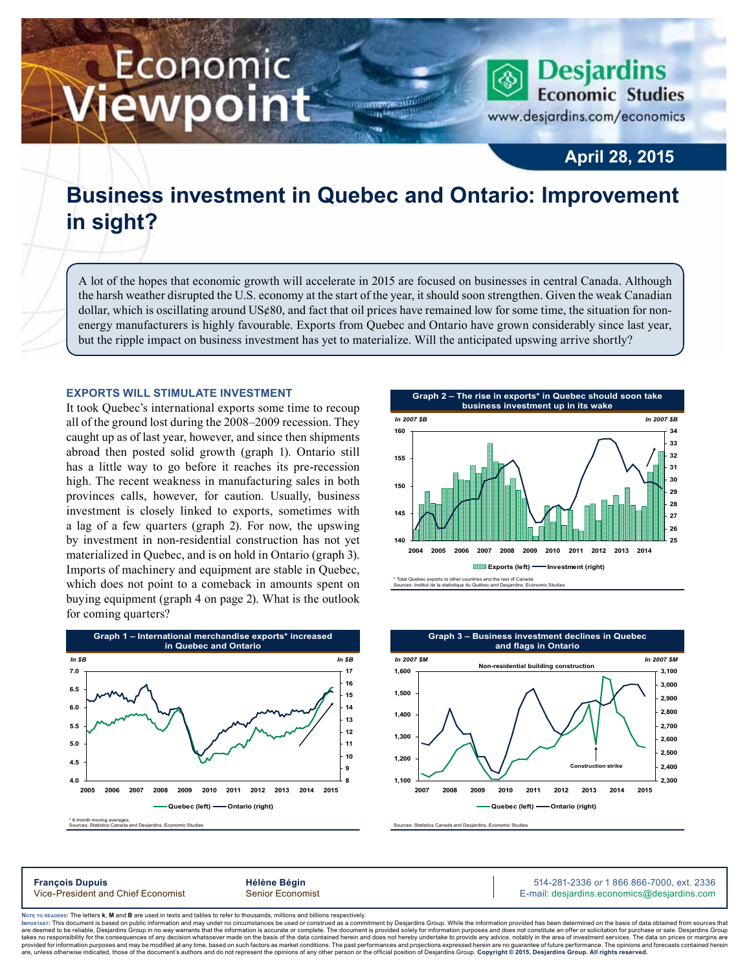# Economic ewpoint

**Desjardins Economic Studies** www.desjardins.com/economics

**April 28, 2015**

## **Business investment in Quebec and Ontario: Improvement in sight?**

m

A lot of the hopes that economic growth will accelerate in 2015 are focused on businesses in central Canada. Although the harsh weather disrupted the U.S. economy at the start of the year, it should soon strengthen. Given the weak Canadian dollar, which is oscillating around US¢80, and fact that oil prices have remained low for some time, the situation for nonenergy manufacturers is highly favourable. Exports from Quebec and Ontario have grown considerably since last year, but the ripple impact on business investment has yet to materialize. Will the anticipated upswing arrive shortly?

### **Exports will stimulate investment**

It took Quebec's international exports some time to recoup all of the ground lost during the 2008–2009 recession. They caught up as of last year, however, and since then shipments abroad then posted solid growth (graph 1). Ontario still has a little way to go before it reaches its pre-recession high. The recent weakness in manufacturing sales in both provinces calls, however, for caution. Usually, business investment is closely linked to exports, sometimes with a lag of a few quarters (graph 2). For now, the upswing by investment in non-residential construction has not yet materialized in Quebec, and is on hold in Ontario (graph 3). Imports of machinery and equipment are stable in Quebec, which does not point to a comeback in amounts spent on buying equipment (graph 4 on page 2). What is the outlook for coming quarters?







s: Statistics Canada and Desjardins, Economic Studie

**François Dupuis Hélène Bégin** 514-281-2336 *or* 1 866 866-7000, ext. 2336 Vice-President and Chief Economist Senior Economist Senior Economist E-mail: desjardins.economics@desjardins.com

Noте то келоекs: The letters **k, M** and **B** are used in texts and tables to refer to thousands, millions and billions respectively.<br>Імроктлит: This document is based on public information and may under no circumstances be are deemed to be reliable. Desiardins Group in no way warrants that the information is accurate or complete. The document is provided solely for information purposes and does not constitute an offer or solicitation for pur takes no responsibility for the consequences of any decision whatsoever made on the basis of the data contained herein and does not hereby undertake to provide any advice, notably in the area of investment services. The da are show that information purposes and may be modified at any time, based on such factors as market conditions. The past performances and projections expressed herein are no guarantee of future performance. The opinions ar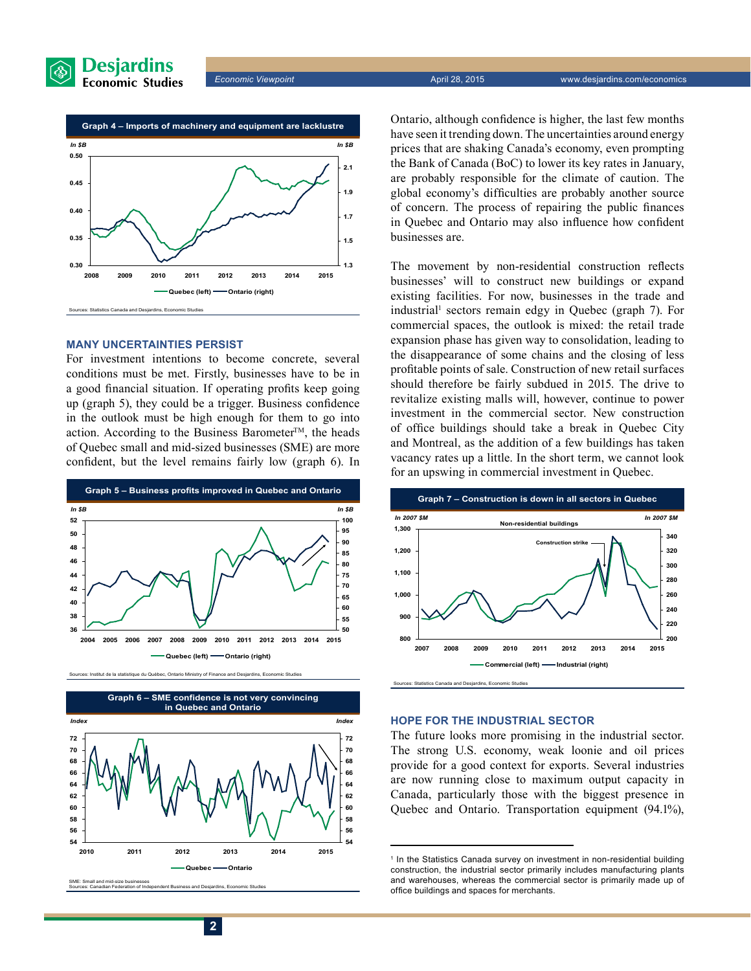





#### **Many uncertainties persist**

For investment intentions to become concrete, several conditions must be met. Firstly, businesses have to be in a good financial situation. If operating profits keep going up (graph 5), they could be a trigger. Business confidence in the outlook must be high enough for them to go into action. According to the Business Barometer™, the heads of Quebec small and mid-sized businesses (SME) are more confident, but the level remains fairly low (graph 6). In









SME: Small and mid-size businesses Sources: Canadian Federation of Independent Business and Desjardins, Economic Studies Ontario, although confidence is higher, the last few months have seen it trending down. The uncertainties around energy prices that are shaking Canada's economy, even prompting the Bank of Canada (BoC) to lower its key rates in January, are probably responsible for the climate of caution. The global economy's difficulties are probably another source of concern. The process of repairing the public finances in Quebec and Ontario may also influence how confident businesses are.

The movement by non-residential construction reflects businesses' will to construct new buildings or expand existing facilities. For now, businesses in the trade and industrial<sup>1</sup> sectors remain edgy in Quebec (graph 7). For commercial spaces, the outlook is mixed: the retail trade expansion phase has given way to consolidation, leading to the disappearance of some chains and the closing of less profitable points of sale. Construction of new retail surfaces should therefore be fairly subdued in 2015. The drive to revitalize existing malls will, however, continue to power investment in the commercial sector. New construction of office buildings should take a break in Quebec City and Montreal, as the addition of a few buildings has taken vacancy rates up a little. In the short term, we cannot look for an upswing in commercial investment in Quebec.



#### **Hope for the industrial sector**

The future looks more promising in the industrial sector. The strong U.S. economy, weak loonie and oil prices provide for a good context for exports. Several industries are now running close to maximum output capacity in Canada, particularly those with the biggest presence in Quebec and Ontario. Transportation equipment (94.1%),

<sup>&</sup>lt;sup>1</sup> In the Statistics Canada survey on investment in non-residential building construction, the industrial sector primarily includes manufacturing plants and warehouses, whereas the commercial sector is primarily made up of office buildings and spaces for merchants.